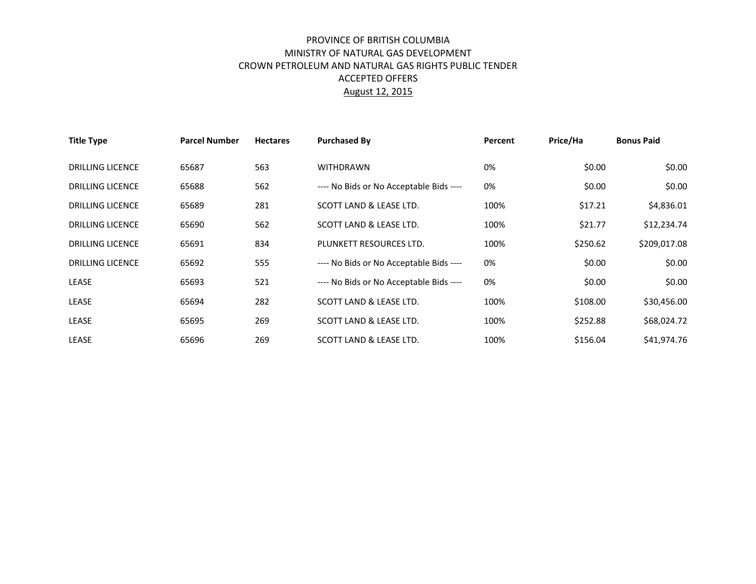## PROVINCE OF BRITISH COLUMBIA MINISTRY OF NATURAL GAS DEVELOPMENT CROWN PETROLEUM AND NATURAL GAS RIGHTS PUBLIC TENDER ACCEPTED OFFERS August 12, 2015

| <b>Title Type</b>       | <b>Parcel Number</b> | <b>Hectares</b> | <b>Purchased By</b>                     | Percent | Price/Ha | <b>Bonus Paid</b> |
|-------------------------|----------------------|-----------------|-----------------------------------------|---------|----------|-------------------|
| <b>DRILLING LICENCE</b> | 65687                | 563             | <b>WITHDRAWN</b>                        | 0%      | \$0.00   | \$0.00            |
| <b>DRILLING LICENCE</b> | 65688                | 562             | ---- No Bids or No Acceptable Bids ---- | 0%      | \$0.00   | \$0.00            |
| <b>DRILLING LICENCE</b> | 65689                | 281             | SCOTT LAND & LEASE LTD.                 | 100%    | \$17.21  | \$4,836.01        |
| <b>DRILLING LICENCE</b> | 65690                | 562             | SCOTT LAND & LEASE LTD.                 | 100%    | \$21.77  | \$12,234.74       |
| <b>DRILLING LICENCE</b> | 65691                | 834             | PLUNKETT RESOURCES LTD.                 | 100%    | \$250.62 | \$209,017.08      |
| <b>DRILLING LICENCE</b> | 65692                | 555             | ---- No Bids or No Acceptable Bids ---- | 0%      | \$0.00   | \$0.00            |
| LEASE                   | 65693                | 521             | ---- No Bids or No Acceptable Bids ---- | 0%      | \$0.00   | \$0.00            |
| <b>LEASE</b>            | 65694                | 282             | SCOTT LAND & LEASE LTD.                 | 100%    | \$108.00 | \$30,456.00       |
| LEASE                   | 65695                | 269             | SCOTT LAND & LEASE LTD.                 | 100%    | \$252.88 | \$68,024.72       |
| <b>LEASE</b>            | 65696                | 269             | SCOTT LAND & LEASE LTD.                 | 100%    | \$156.04 | \$41,974.76       |